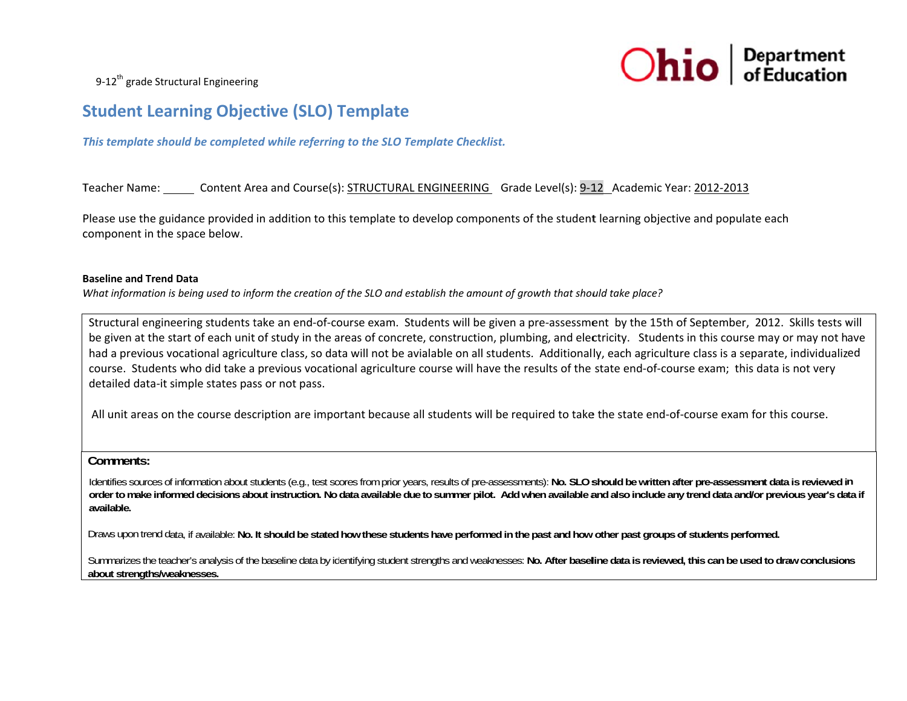9-12<sup>th</sup> grade Structural Engineering



# **S Student Lea arning Objec ctive (SLO) T Template**

# *T This template sho ould be complete ed while referring g to the SLO Tem mplate Checklist.*

# Teacher Name: \_\_\_\_\_\_\_ Content Area and Course(s): STRUCTURAL ENGINEERING Grade Level(s): 9-12 Academic Year: 2012-2013

Please use the guidance provided in addition to this template to develop components of the student learning objective and populate each component in the space below.

#### **BBaseline and Trend d Data**

What information is being used to inform the creation of the SLO and establish the amount of growth that should take place?

Structural engineering students take an end-of-course exam. Students will be given a pre-assessment by the 15th of September, 2012. Skills tests will be given at the start of each unit of study in the areas of concrete, construction, plumbing, and electricity. Students in this course may or may not have had a previous vocational agriculture class, so data will not be avialable on all students. Additionally, each agriculture class is a separate, individualized course. Students who did take a previous vocational agriculture course will have the results of the state end-of-course exam; this data is not very detailed data‐it simple states pas ss or not pass.

All unit areas on the course description are important because all students will be required to take the state end-of-course exam for this course.

## **Comments:**

ldentifies sources of information about students (e.g., test scores from prior years, results of pre-assessments): No. SLO should be written after pre-assessment data is reviewed in order to make informed decisions about instruction. No data available due to summer pilot. Add when available and also include any trend data and/or previous year's data if **available.** 

Draws upon trend data, if available: No. It should be stated how these students have performed in the past and how other past groups of students performed.

Summarizes the teacher's analysis of the baseline data by identifying student strengths and weaknesses: No. After baseline data is reviewed, this can be used to draw conclusions **about strengths/we eaknesses.**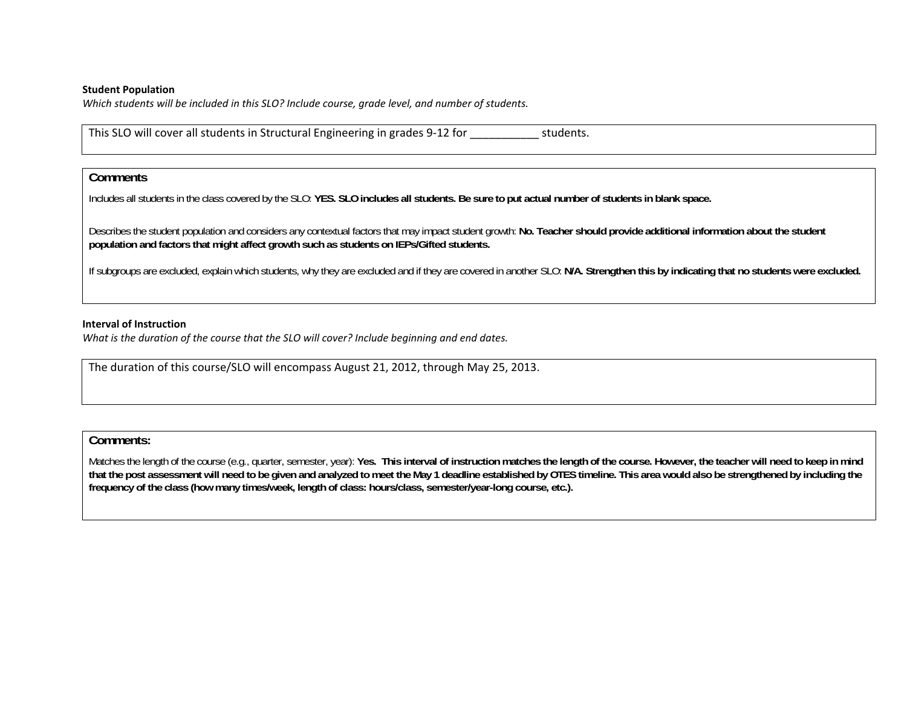#### **Student Population**

*Which students will be included in this SLO? Include course, grade level, and number of students.*

This SLO will cover all students in Structural Engineering in grades 9‐12 for \_\_\_\_\_\_\_\_\_\_\_ students.

# **Comments**

Includes all students in the class covered by the SLO: **YES. SLO includes all students. Be sure to put actual number of students in blank space.** 

Describes the student population and considers any contextual factors that may impact student growth: **No. Teacher should provide additional information about the student population and factors that might affect growth such as students on IEPs/Gifted students.** 

If subgroups are excluded, explain which students, why they are excluded and if they are covered in another SLO: **N/A. Strengthen this by indicating that no students were excluded.**

#### **Interval of Instruction**

*What is the duration of the course that the SLO will cover? Include beginning and end dates.*

The duration of this course/SLO will encompass August 21, 2012, through May 25, 2013.

# **Comments:**

Matches the length of the course (e.g., quarter, semester, year): Yes. This interval of instruction matches the length of the course. However, the teacher will need to keep in mind **that the post assessment will need to be given and analyzed to meet the May 1 deadline established by OTES timeline. This area would also be strengthened by including the frequency of the class (how many times/week, length of class: hours/class, semester/year-long course, etc.).**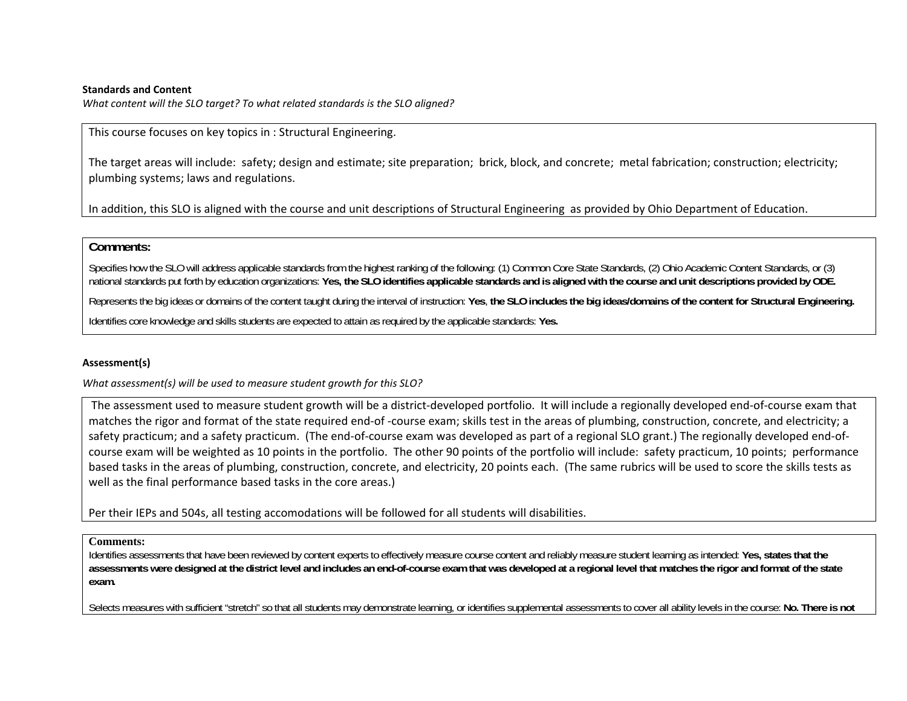### **Standards and Content**

*What content will the SLO target? To what related standards is the SLO aligned?*

This course focuses on key topics in : Structural Engineering.

The target areas will include: safety; design and estimate; site preparation; brick, block, and concrete; metal fabrication; construction; electricity; plumbing systems; laws and regulations.

In addition, this SLO is aligned with the course and unit descriptions of Structural Engineering as provided by Ohio Department of Education.

# **Comments:**

Specifies how the SLO will address applicable standards from the highest ranking of the following: (1) Common Core State Standards, (2) Ohio Academic Content Standards, or (3) national standards put forth by education organizations: **Yes, the SLO identifies applicable standards and is aligned with the course and unit descriptions provided by ODE.** Represents the big ideas or domains of the content taught during the interval of instruction: **Yes**, **the SLO includes the big ideas/domains of the content for Structural Engineering.**  Identifies core knowledge and skills students are expected to attain as required by the applicable standards: **Yes.** 

#### **Assessment(s)**

## *What assessment(s) will be used to measure student growth for this SLO?*

The assessment used to measure student growth will be <sup>a</sup> district‐developed portfolio. It will include <sup>a</sup> regionally developed end‐of‐course exam that matches the rigor and format of the state required end‐of ‐course exam; skills test in the areas of plumbing, construction, concrete, and electricity; <sup>a</sup> safety practicum; and a safety practicum. (The end-of-course exam was developed as part of a regional SLO grant.) The regionally developed end-ofcourse exam will be weighted as 10 points in the portfolio. The other 90 points of the portfolio will include: safety practicum, 10 points; performance based tasks in the areas of plumbing, construction, concrete, and electricity, 20 points each. (The same rubrics will be used to score the skills tests as well as the final performance based tasks in the core areas.)

Per their IEPs and 504s, all testing accomodations will be followed for all students will disabilities.

#### **Comments:**

Identifies assessments that have been reviewed by content experts to effectively measure course content and reliably measure student learning as intended: **Yes, states that the assessments were designed at the district level and includes an end-of-course exam that was developed at a regional level that matches the rigor and format of the state exam.** 

Selects measures with sufficient "stretch" so that all students may demonstrate learning, or identifies supplemental assessments to cover all ability levels in the course: **No. There is not**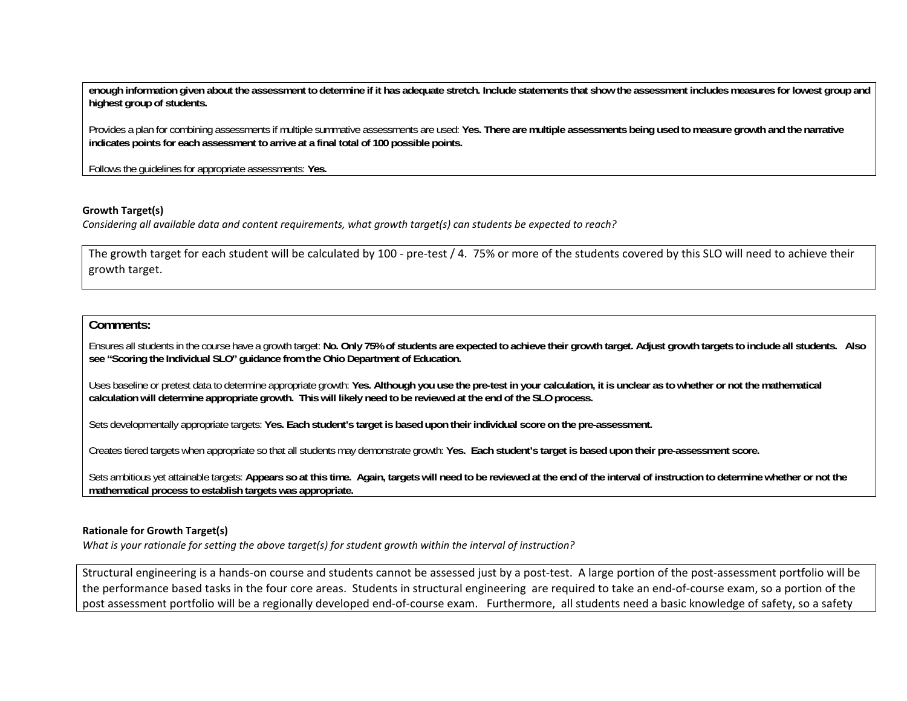**enough information given about the assessment to determine if it has adequate stretch. Include statements that show the assessment includes measures for lowest group and highest group of students.**

Provides a plan for combining assessments if multiple summative assessments are used: **Yes. There are multiple assessments being used to measure growth and the narrative indicates points for each assessment to arrive at a final total of 100 possible points.** 

Follows the guidelines for appropriate assessments: **Yes.**

## **Growth Target(s)**

Considering all available data and content requirements, what growth target(s) can students be expected to reach?

The growth target for each student will be calculated by 100 - pre-test / 4. 75% or more of the students covered by this SLO will need to achieve their growth target.

# **Comments:**

Ensures all students in the course have a growth target: **No. Only 75% of students are expected to achieve their growth target. Adjust growth targets to include all students. Also see "Scoring the Individual SLO" guidance from the Ohio Department of Education.** 

Uses baseline or pretest data to determine appropriate growth: **Yes. Although you use the pre-test in your calculation, it is unclear as to whether or not the mathematical calculation will determine appropriate growth. This will likely need to be reviewed at the end of the SLO process.** 

Sets developmentally appropriate targets: **Yes. Each student's target is based upon their individual score on the pre-assessment.** 

Creates tiered targets when appropriate so that all students may demonstrate growth: **Yes. Each student's target is based upon their pre-assessment score.** 

Sets ambitious yet attainable targets: Appears so at this time. Again, targets will need to be reviewed at the end of the interval of instruction to determine whether or not the **mathematical process to establish targets was appropriate.**

#### **Rationale for Growth Target(s)**

What is your rationale for setting the above target(s) for student growth within the interval of instruction?

Structural engineering is <sup>a</sup> hands‐on course and students cannot be assessed just by <sup>a</sup> post‐test. A large portion of the post‐assessment portfolio will be the performance based tasks in the four core areas. Students in structural engineering are required to take an end‐of‐course exam, so <sup>a</sup> portion of the post assessment portfolio will be <sup>a</sup> regionally developed end‐of‐course exam. Furthermore, all students need <sup>a</sup> basic knowledge of safety, so <sup>a</sup> safety